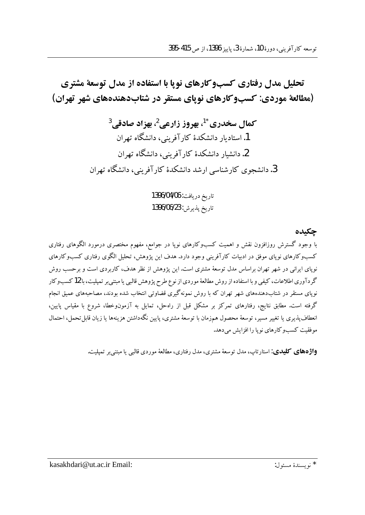تحلیل مدل رفتاری کسبوکارهای نویا با استفاده از مدل توسعهٔ مشتری (مطالعهٔ موردی: کسبوکارهای نویای مستقر در شتابدهندههای شهر تهران)

> کمال سخدری <sup>1</sup>'، بھروز زارعی <sup>2</sup>، بھزاد صادقی <sup>3</sup> 1. استادیار دانشکدهٔ کار آفرینی، دانشگاه تهران 2. دانشبار دانشکدهٔ کار آفرینب، دانشگاه تهران 3. دانشجوی کارشناسی ارشد دانشکدهٔ کار آفرینی، دانشگاه تهران

> > تاريخ دريافت: 1396/04/06 تاريخ يذيرش: 1396/06/23

با وجود گسترش روزافزون نقش و اهمیت کسبوکارهای نوپا در جوامع، مفهوم مختصری درمورد الگوهای رفتاری کسبوکارهای نوپای موفق در ادبیات کارآفرینی وجود دارد. هدف این پژوهش، تحلیل الگوی رفتاری کسبوکارهای .<br>نوپای ایرانی در شهر تهران براساس مدل توسعهٔ مشتری است. این پژوهش از نظر هدف، کاربردی است و برحسب روش گردآوری اطلاعات، کیفی و با استفاده از روش مطالعهٔ موردی از نوع طرح پژوهش قالبی یا مبتنیبر تمپلیت، با 12 کسبوکار .<br>نویای مستقر در شتابدهندههای شهر تهران که با روش نمونهگیری قضاوتی انتخاب شده بودند، مصاحبههای عمیق انجام گرفته است. مطابق نتایج، رفتارهای تمرکز بر مشکل قبل از راهحل، تمایل به آزمونوخطا، شروع با مقیاس پایین، انعطاف پذیری یا تغییر مسیر، توسعهٔ محصول همزمان با توسعهٔ مشتری، پایین نگهداشتن هزینهها یا زیان قابل تحمل، احتمال مو فقت کسبو کار های نو یا را افزایش می دهد.

**واژههای کلیدی**: استارتاب، مدل توسعهٔ مشتری، مدل رفتاری، مطالعهٔ موردی قالبی یا میتنی بر تمیلیت.

چکىدە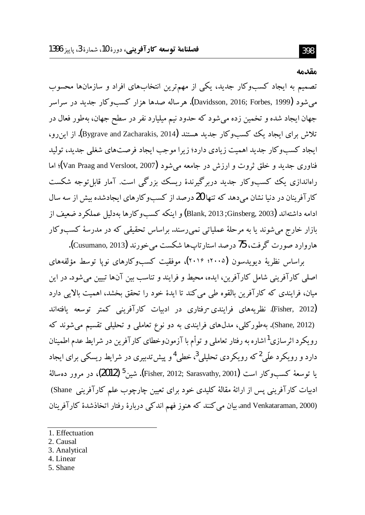#### مقدمه

تصمیم به ایجاد کسبوکار جدید، یکی از مهمترین انتخابهای افراد و سازمانها محسوب می شو د (Davidsson, 2016; Forbes, 1999). هر ساله صدها هزار کسب و کار جدید در سراسر جهان ايجاد شده و تخمين زده مي شود كه حدود نيم ميليارد نفر در سطح جهان، بهطور فعال در تلاش برای ایجاد یک کسبوکار جدید هستند (Bygrave and Zacharakis, 2014). از این رو، ایجاد کسبوکار جدید اهمیت زیادی دارد؛ زیرا موجب ایجاد فرصتهای شغلی جدید، تولید فناوري جديد و خلق ثروت و ارزش در جامعه مي شود (Van Praag and Versloot, 2007)؛ اما راهاندازی یک کسبوکار جدید دربرگیرندهٔ ریسک بزرگی است. آمار قابل توجه شکست کارآفرینان در دنیا نشان می دهد که تنها 20 درصد از کسبوکارهای ایجادشده بیش از سه سال ادامه داشتهاند (Ginsberg, 2003; Blank, 2013; Ginsberg, و اینکه کسبوگارها بهدلیل عملکرد ضعیف از بازار خارج می شوند یا به مرحلهٔ عملیاتی نمی رسند. براساس تحقیقی که در مدرسهٔ کسبوکار هاروارد صورت گرفت، 75 درصد استار تاپها شکست می خورند (Cusumano, 2013).

براساس نظرية ديويدسون (٢٠٠٥؛ ٢٠١٤)، موفقيت كسبوكارهاي نويا توسط مؤلفههاي اصلی کارآفرینی شامل کارآفرین، ایده، محیط و فرایند و تناسب بین آنها تبیین می شود. در این میان، فرایندی که کارآفرین بالقوه طی می کند تا ایدهٔ خود را تحقق بخشد، اهمیت بالایی دارد (Fisher, 2012). نظریههای فرایندی-رفتاری در ادبیات کارآفرینی کمتر توسعه یافتهاند (Shane, 2012). بهطورکلی، مدلهای فرایندی به دو نوع تعاملی و تحلیلی تقسیم می شوند که رویکرد اثرسازی<sup>1</sup>اشاره به رفتار تعاملی و توأم با آزمونوخطای کارآفرین در شرایط عدم اطمینان دارد و رویکرد علّی<sup>2</sup> که رویکردی تحلیلی<sup>3</sup>، خطی<sup>4</sup>و پیش تدبیری در شرایط ریسکی برای ایجاد يا توسعهٔ كسبوكار است (Fisher, 2012; Sarasvathy, 2001). شين<sup>5</sup> (**2012)،** در مرور دهسالهٔ ادبیات کارآفرینی پس از ارائهٔ مقالهٔ کلیدی خود برای تعیین چارچوب علم کارآفرینی Shane) and Venkataraman, 2000). بیان می کنند که هنوز فهم اندکی دربارهٔ رفتار اتخاذشدهٔ کارآفرینان

- 2. Causal
- 3. Analytical
- 4. Linear
- 5. Shane

<sup>1.</sup> Effectuation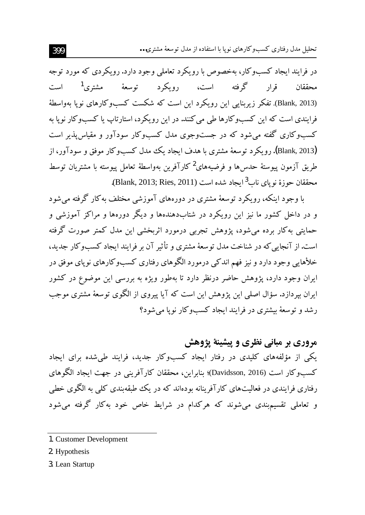تحلیل مدل رفتاری کسبوکارهای نویا با استفاده از مدل توسعهٔ مشتری…

در فرایند ایجاد کسبوکار، بهخصوص با رویکرد تعاملی وجود دارد. رویکردی که مورد توجه محققان قرار گرفته است، رویکرد توسعهٔ مشتری<sup>1</sup> است (Blank, 2013). تفکر زیربنایی این رویکرد این است که شکست کسبوکارهای نویا بهواسطهٔ فرایندی است که این کسبوکارها طی می کنند. در این رویکرد، استارتاب یا کسبوکار نویا به کسبوکاری گفته می شود که در جست وجوی مدل کسبوکار سودآور و مقیاس پذیر است (Blank, 2013). رویکرد توسعهٔ مشتری با هدف ایجاد یک مدل کسبوکار موفق و سودآور، از طريق آزمون ييوستهٔ حدس ها و فرضيههاي<sup>2</sup> كارآفرين بهواسطهٔ تعامل پيوسته با مشتريان توسط محققان حوزهٔ نوپای ناب<sup>3</sup>ایجاد شده است (Blank, 2013; Ries, 2011).

با وجود اینکه، رویکرد توسعهٔ مشتری در دورههای آموزشی مختلف به کار گرفته می شود و در داخل کشور ما نیز این رویکرد در شتابدهندهها و دیگر دورهها و مراکز آموزشی و حمایتی به کار برده می شود، پژوهش تجربی درمورد اثربخشی این مدل کمتر صورت گرفته است. از آنجایی که در شناخت مدل تو سعهٔ مشتری و تأثیر آن بر فرایند ایجاد کسبوکار جدید، خلأهايي وجود دارد و نيز فهم اندكي درمورد الگوهاي رفتاري كسبوكارهاي نوياي موفق در ایران وجود دارد، پژوهش حاضر درنظر دارد تا بهطور ویژه به بررسی این موضوع در کشور ایران بپردازد. سؤال اصلبی این پژوهش این است که آیا پیروی از الگوی توسعهٔ مشتری موجب رشد و توسعهٔ بیشتری در فرایند ایجاد کسبوکار نویا می شود؟

 **ÅÁa ÈÀÌÌaÁ É¿ Ê¿Z^»] ÉÁ»** یکی از مؤلفههای کلیدی در رفتار ایجاد کسبوکار جدید، فرایند طیشده برای ایجاد کسبوکار است (Davidsson, 2016)؛ بنابراین، محققان کارآفرینی در جهت ایجاد الگوهای رفتاری فرایندی در فعالیتهای کارآفرینانه بودهاند که در یک طبقهبندی کلی به الگوی خطی و تعاملی تقسیمبندی می شوند که هرکدام در شرایط خاص خود بهکار گرفته می شود

3. Lean Startup

<sup>1</sup>. Customer Development

<sup>2</sup>. Hypothesis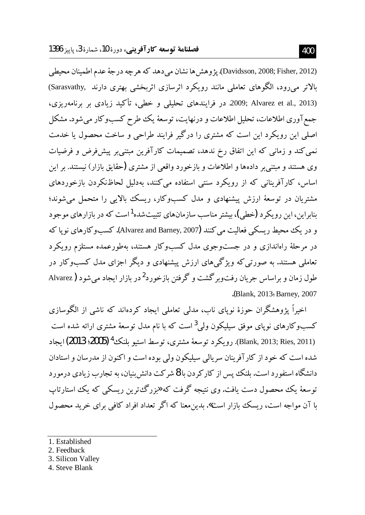(Davidsson, 2008; Fisher, 2012). يژوهش ها نشان مي دهد كه هر چه درجهٔ عدم اطمينان محيطي بالاتر می رود، الگوهای تعاملی مانند رویکرد اثرسازی اثربخشی بهتری دارند ,Sarasvathy) (2013 ,201xarez et al. 2013. در فرايندهاي تحليلي و خطي، تأكيد زيادي بر برنامهريزي، جمع آوري اطلاعات، تحليل اطلاعات و درنهايت، توسعهٔ يک طرح کسبوکار مي شود. مشکل اصلی این رویکرد این است که مشتری را درگیر فرایند طراحی و ساخت محصول یا خدمت نمی کند و زمانی که این اتفاق رخ ندهد، تصمیمات کارآفرین مبتنی بر پیش فرض و فرضیات وی هستند و مبتنی بر دادهها و اطلاعات و بازخورد واقعی از مشتری (حقایق بازار) نیستند. بر این اساس، کارآفرینانی که از رویکرد سنتی استفاده می کنند، بهدلیل لحاظنکردن بازخوردهای مشتریان در توسعهٔ ارزش پیشنهادی و مدل کسبوکار، ریسک بالایی را متحمل می شوند؛ بنابراین، این رویکرد (خطی)، بیشتر مناسب سازمانهای تثبیتشده<sup>1</sup>است که در بازارهای موجود و در يک محيط ريسکي فعاليت مي کنند (Alvarez and Barney, 2007). کسب و کارهاي نو يا که در مرحلهٔ راهاندازی و در جستوجوی مدل کسبوکار هستند، بهطورعمده مستلزم رویکرد تعاملی هستند. به صورتی که ویژگیهای ارزش پیشنهادی و دیگر اجزای مدل کسبوکار در طول زمان و براساس جریان رفتوبر گشت و گرفتن بازخورد<sup>2</sup>در بازار ایجاد می شود ( Alvarez .(Blank, 2013; Barney, 2007

اخیراً یژوهشگران حوزهٔ نویای ناب، مدلمی تعاملی ایجاد کردهاند که ناشی از الگوسازی کسبوکارهای نویای موفق سیلیکون ولمی<sup>3</sup>است که با نام مدل توسعهٔ مشتری ارائه شده است (Blank, 2013; Ries, 2011). رويكرد توسعهٔ مشترى، توسط استبو بلنك<sup>4</sup> (2005؛ 2013) ايجاد شده است که خود از کارآفرینان سریالی سیلیکون ولی بوده است و اکنون از مدرسان و استادان دانشگاه استفورد است. بلنک پس از کارکردن با 8 شرکت دانش بنیان، به تجارب زیادی درمورد توسعهٔ یک محصول دست یافت. وی نتیجه گرفت که «بزرگ ترین ریسکمی که یک استارتاپ با آن مواجه است، ریسک بازار است». بدین معنا که اگر تعداد افراد کافی برای خرید محصول

- 1. Established
- 2. Feedback
- 3. Silicon Valley
- 4. Steve Blank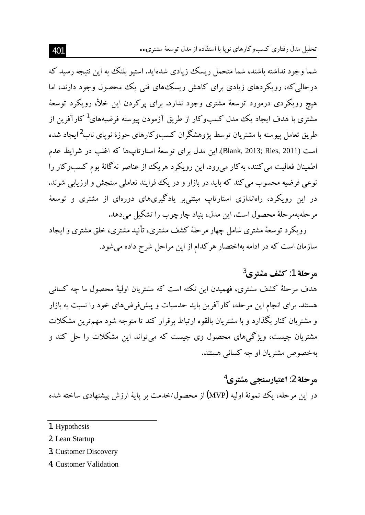تحلیل مدل رفتاری کسبوکارهای نویا با استفاده از مدل توسعهٔ مشتری...

شما وجود نداشته باشند، شما متحمل ریسک زیادی شدهاید. استیو بلنک به این نتیجه رسید که درحالی که، رویکردهای زیادی برای کاهش ریسک های فنی یک محصول وجود دارند، اما هیچ رویکردی درمورد توسعهٔ مشتری وجود ندارد. برای یرکردن این خلأ، رویکرد توسعهٔ مشتری با هدف ایجاد یک مدل کسبوکار از طریق آزمودن یبوسته فرضیههای<sup>1</sup>کارآفرین از طریق تعامل پیوسته با مشتریان توسط یژوهشگران کسبوکارهای حوزهٔ نویای ناب<sup>2</sup>ایجاد شده است (Blank, 2013; Ries, 2011). این مدل برای توسعهٔ استارتاپها که اغلب در شرایط عدم اطمینان فعالیت می کنند، به کار می رود. این رویکرد هریک از عناصر نه گانهٔ بوم کسبوکار را نوعی فرضیه محسوب می کند که باید در بازار و در یک فرایند تعاملی سنجش و ارزیابی شوند. در این رویکرد، راهاندازی استارتاپ مبتنے بر یادگیریهای دورمای از مشتری و توسعهٔ مرحلهبهمر حلهٔ محصول است. این مدل، بنیاد چارچوب را تشکیل می دهد.

رویکرد توسعهٔ مشتری شامل چهار مرحلهٔ کشف مشتری، تأثید مشتری، خلق مشتری و ایجاد سازمان است که در ادامه بهاختصار هرکدام از این مراحل شرح داده می شود.

## مرحلة 1: كشف مشترى<sup>3</sup>

هدف مرحلهٔ کشف مشتری، فهمیدن این نکته است که مشتریان اولیهٔ محصول ما چه کسانی هستند. برای انجام این مرحله، کارآفرین باید حدسیات و پیشفر ضهای خود را نسبت به بازار و مشتریان کنار بگذارد و با مشتریان بالقوه ارتباط برقرار کند تا متوجه شود مهمترین مشکلات مشتریان چیست، ویژگیهای محصول وی چیست که می تواند این مشکلات را حل کند و په خصوص مشتر بان او چه کسانی هستند.

# مرحلة 2: اعتبارسنجي مشتري<sup>4</sup>

در این مرحله، یک نمونهٔ اولیه (MVP) از محصول/خدمت بر پایهٔ ارزش پیشنهادی ساخته شده

- 2. Lean Startup
- 3. Customer Discovery
- 4. Customer Validation

<sup>1.</sup> Hypothesis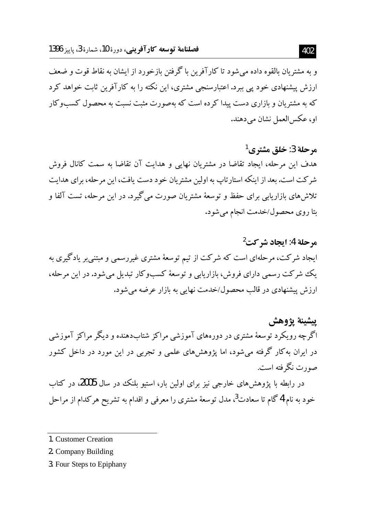و به مشتریان بالقوه داده می شود تا کارآفرین با گرفتن بازخورد از ایشان به نقاط قوت و ضعف ارزش پیشنهادی خود پی ببرد. اعتبارسنجی مشتری، این نکته را به کارآفرین ثابت خواهد کرد که به مشتر بان و بازاری دست پیدا کر ده است که بهصورت مثبت نسبت به محصول کسبوکار او، عکس العمل نشان می دهند.

مرحلة 3: خلق مشترى<sup>1</sup> هدف این مرحله، ایجاد تقاضا در مشتریان نهایی و هدایت آن تقاضا به سمت کانال فروش شرکت است. بعد از اینکه استارتاب به اولین مشتریان خود دست یافت، این مرحله، برای هدایت تلاش های بازاریابی برای حفظ و توسعهٔ مشتریان صورت می گیرد. در این مرحله، تست آلفا و ىتا روى محصول/خدمت انجام مى شود.

مرحلة 4: ايجاد شركت<sup>2</sup> ایجاد شرکت، مرحلهای است که شرکت از تیم توسعهٔ مشتری غیررسمی و مبتنی بر یادگیری به یک شرکت رسمی دارای فروش، بازاریابی و توسعهٔ کسبوکار تبدیل میشود. در این مرحله، ارزش پیشنهادی در قالب محصول/خدمت نهایی به بازار عرضه میشود.

يبشينة يژوهش اگرچه رویکرد توسعهٔ مشتری در دورههای آموزشی مراکز شتابدهنده و دیگر مراکز آموزشی در ایران به کار گرفته میشود، اما پژوهشهای علمی و تجربی در این مورد در داخل کشور صورت نگر فته است.

در رابطه با پژوهشهای خارجی نیز برای اولین بار، استیو بلنک در سال 2005، در کتاب خود به نام 4گام تا سعادت<sup>3</sup>، مدل توسعهٔ مشتری را معرفی و اقدام به تشریح هرکدام از مراحل

- 1. Customer Creation
- 2. Company Building
- 3. Four Steps to Epiphany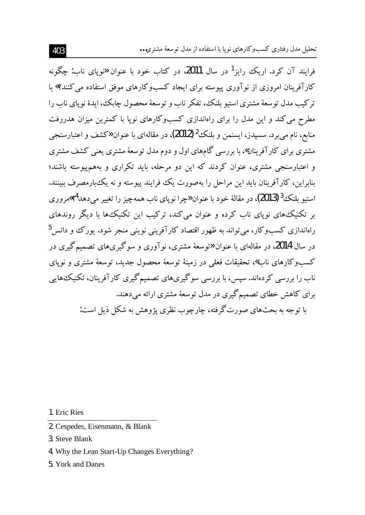تحلیل مدل رفتاری کسبوکارهای نویا با استفاده از مدل توسعهٔ مشتری...

فرایند آن کرد. اریک رایز<sup>1</sup> در سال **2011**، در کتاب خود با عنوان «نویای ناب: چگونه کار آفرینان امروزی از نوآوری پیوسته برای ایجاد کسبوکارهای موفق استفاده م*ی ک*نند؟» با تر كتب مدل توسعهٔ مشترى استبو بلنك، تفكر ناب و توسعهٔ محصول جایك، ایدهٔ نوپای ناب را مطرح می کند و این مدل را برای راهاندازی کسبوکارهای نوپا با کمترین میزان هدررفت منابع، نام مي بر د. سسيدز، ايسنمن و بلنك<sup>2</sup> (2012)، در مقالهاي با عنوان «كشف و اعتبارسنجي مشتری برای کار آفرینان»، با بررسی گامهای اول و دوم مدل توسعهٔ مشتری یعنی کشف مشتری و اعتبارسنجی مشتری، عنوان کردند که این دو مرحله، باید تکراری و بههم پیوسته باشند؛ بنابراین، کارآفرینان باید این مراحل را بهصورت یک فرایند پیوسته و نه یک بارمصرف ببینند. استيو بلنک<sup>3</sup> (2013)، در مقالهٔ خود با عنوان «چرا نوياي ناب همهچيز را تغيير مي دهد<sup>4</sup>؟»م وري بر تکنیکههای نوپای ناب کرده و عنوان می کند، ترکیب این تکنیکهها با دیگر روندهای راهاندازی کسبوکار، می تواند به ظهور اقتصاد کارآفرینی نوینی منجر شود. یورک و دانس<sup>5</sup> در سال 2014، در مقالهای با عنوان «توسعهٔ مشتری، نوآوری و سوگیریهای تصمیمگیری در کسبوکارهای ناب»، تحقیقات فعلی در زمینهٔ توسعهٔ محصول جدید، توسعهٔ مشتری و نویای ناب را بررسی کردهاند. سپس، با بررسی سوگیریهای تصمیم گیری کارآفرینان، تکنیکهایی برای کاهش خطای تصمیم گیری در مدل توسعهٔ مشتری ارائه می دهند. با توجه به بحثهای صورت گرفته، چارچوب نظری پژوهش به شکل ذیل است:

1. Eric Ries

- 2. Cespedes, Eisenmann, & Blank
- 3. Steve Blank
- 4. Why the Lean Start-Up Changes Everything?
- 5. York and Danes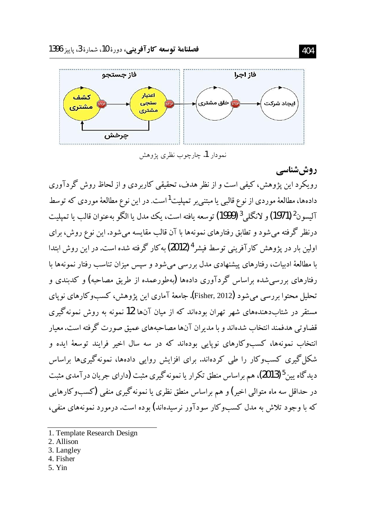

نمودار 1. چارچوب نظري پژوهش

روش شناسی رویکرد این پژوهش، کیفی است و از نظر هدف، تحقیقی کاربردی و از لحاظ روش گردآوری دادهها، مطالعهٔ موردی از نوع قالب<sub>ی</sub> یا مبتنی بر تمپلیت<sup>1</sup>است. در این نوع مطالعهٔ موردی که توسط آليسون<sup>2</sup> (1971) و لانگل<sub>ي</sub> <sup>3</sup> (1999) توسعه يافته است، يک مدل يا الگو به عنوان قالب يا تميليت درنظر گرفته می شود و تطابق رفتارهای نمونهها با آن قالب مقایسه می شود. این نوع روش، برای اولین بار در پژوهش کارآفرینی توسط فیشر <sup>4</sup> (2012) به کار گرفته شده است. در این روش ابتدا با مطالعهٔ ادبیات، رفتارهای پیشنهادی مدل بررسی می شود و سپس میزان تناسب رفتار نمونهها با رفتارهای بررسی شده براساس گردآوری دادهها (یهطورعمده از طریق مصاحبه) و کدبندی و تحلیل محتوا بررسی می شود (Fisher, 2012). جامعهٔ آماری این پژوهش، کسبوکارهای نوپای مستقر در شتابدهندههای شهر تهران بودهاند که از میان آنها 12 نمونه به روش نمونهگری قضاوتی هدفمند انتخاب شدهاند و با مدیران آنها مصاحبههای عمیق صورت گرفته است. معیار انتخاب نمونهها، کسبوکارهای نوپایی بودهاند که در سه سال اخیر فرایند توسعهٔ ایده و شکل گیری کسبوکار را طی کردهاند. برای افزایش روایی دادهها، نمونهگیریها براساس دیدگاه پین<sup>5</sup> (2013)، هم براساس منطق تکرار یا نمونه گیری مثبت (دارای جریان درآمدی مثبت در حداقل سه ماه متوالی اخیر) و هم براساس منطق نظری یا نمونه گیری منفی (کسبوکارهایی که با وجود تلاش به مدل کسبوکار سودآور نرسیدهاند) بوده است. درمورد نمونههای منفی،

- 2. Allison
- 3. Langley
- 4. Fisher
- 5. Yin

<sup>1.</sup> Template Research Design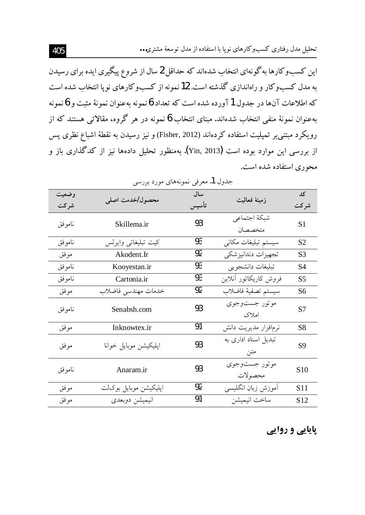تحلیل مدل رفتاری کسبوکارهای نوپا با استفاده از مدل توسعهٔ مشتری…

این کسبوکارها به گونهای انتخاب شدهاند که حداقل 2 سال از شروع پیگیری ایده برای رسیدن به مدل کسبوکار و راهاندازی گذشته است. 12 نمونه از کسبوکارهای نویا انتخاب شده است که اطلاعات آنها در جدول 1 آورده شده است که تعداد 6 نمونه بهعنوان نمونهٔ مثبت و 6 نمونه به عنوان نمونهٔ منفی انتخاب شدهاند. مبنای انتخاب 6 نمونه در هر گروه، مقالاتی هستند که از رویکرد مبتنی بر تمیلیت استفاده کردهاند (Fisher, 2012) و نیز رسیدن به نقطهٔ اشباع نظری پس از بررسی این موارد بوده است (Yin, 2013). بهمنظور تحلیل دادهها نیز از کدگذاری باز و محوری استفاده شده است.

| وضعيت   | محصول/خدمت اصلي       | سال | زمينة فعاليت                    | کد              |
|---------|-----------------------|-----|---------------------------------|-----------------|
| شر کت   |                       |     |                                 | شر کت           |
| ناموفق  | Skillema.ir           | 93  | شبكة اجتماعي<br>متخصصان         | S <sub>1</sub>  |
| ناموفق  | كيت تبليغاتي وايرلس   | 93  | سیستم تبلیغات مکان <sub>ی</sub> | S <sub>2</sub>  |
| موفق    | Akodent.Ir            | 92  | تجهيزات دندانپزشكي              | S <sub>3</sub>  |
| ناموفق  | Kooyestan.ir          | 93  | تبليغات دانشجويي                | S4              |
| نامو فق | Cartonia.ir           | 93  | فروش كاريكاتور أنلاين           | S <sub>5</sub>  |
| موفق    | خدمات مهندسي فاضلاب   | 92  | سيستم تصفيهٔ فاضلاب             | S6              |
| نامو فق | Senabsh.com           | 93  | موتور جستوجوي<br>املاک          | S7              |
| موفق    | Inknowtex.ir          | 91  | نرمافزار مديريت دانش            | S8              |
| مو فق   | اپليكيشن موبايل خوانا | 93  | تبدیل اسناد اداری به<br>متن     | S <sub>9</sub>  |
| نامو فق | Anaram.ir             | 93  | موتور جستوجوي<br>محصولات        | S <sub>10</sub> |
| موفق    | اپليكيشن موبايل بوكات | 92  | آموزش زبان انگلیسی              | S <sub>11</sub> |
| موفق    | انيميشن دوبعدى        | 91  | ساخت انيميشن                    | S <sub>12</sub> |

جدول 1. معرفي نمونههاي مورد بررسي

**پایایی و روایی**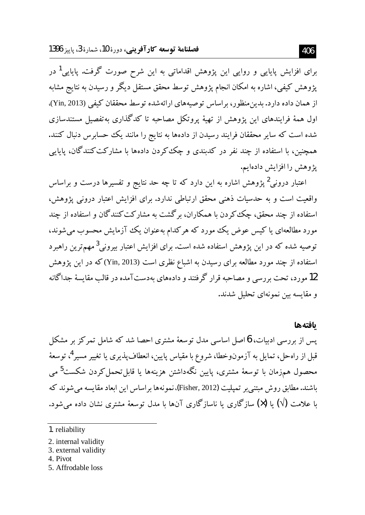برای افزایش پایایی و روایی این پژوهش اقداماتی به این شرح صورت گرفت. پایایی<sup>1</sup> در پژوهش کیفی، اشاره به امکان انجام پژوهش توسط محقق مستقل دیگر و رسیدن به نتایج مشابه از همان داده دارد. بدین منظور، براساس توصیههای ارائهشده توسط محققان کیفی (Yin, 2013)، اول همهٔ فرایندهای این یژوهش از تهیهٔ پروتکل مصاحبه تا کدگذاری بهتفصیل مستندسازی شده است که سایر محققان فرایند رسیدن از دادهها به نتایج را مانند یک حسابرس دنبال کنند. همچنین، با استفاده از چند نفر در کدبندی و چک کردن دادهها با مشارکت کنندگان، پایایی يژوهش را افزايش دادهايم.

اعتبار درونی<sup>2</sup> پژوهش اشاره به این دارد که تا چه حد نتایج و تفسیرها درست و براساس واقعیت است و به حدسیات ذهنی محقق ارتباطی ندارد. برای افزایش اعتبار درونی یژوهش، استفاده از چند محقق، چک کردن با همکاران، برگشت به مشارکت کنندگان و استفاده از چند مورد مطالعهای یا کیس عوض یک مورد که هرکدام بهعنوان یک آزمایش محسوب می شوند، توصیه شده که در این پژوهش استفاده شده است. برای افزایش اعتبار بیرونی<sup>3</sup> مهمترین راهبر د استفاده از چند مورد مطالعه برای رسیدن به اشباع نظری است (Yin, 2013)که در این یژوهش 12 مورد، تحت بررسی و مصاحبه قرار گرفتند و دادههای بهدستآمده در قالب مقایسهٔ جداگانه و مقايسه بين نمونهاي تحليل شدند.

#### بافتهها

پس از بررسی ادبیات، 6 اصل اساسی مدل توسعهٔ مشتری احصا شد که شامل تمرکز بر مشکل قبل از راهحل، تمایل به آزمونوخطا، شروع با مقیاس پایین، انعطاف پذیری یا تغییر مسیر <sup>4</sup>، توسعهٔ محصول همزمان با توسعهٔ مشتری، پایین نگهداشتن هزینهها یا قابلتحمل کردن شکست<sup>5</sup> می باشند. مطابق روش مبتني بر تميليت (Fisher, 2012)، نمونهها براساس اين ابعاد مقايسه مي شوند كه با علامت (V) یا (×) سازگاری یا ناسازگاری آنها با مدل توسعهٔ مشتری نشان داده میشود.

- 2. internal validity
- 3. external validity
- 4. Pivot
- 5. Affrodable loss

<sup>1.</sup> reliability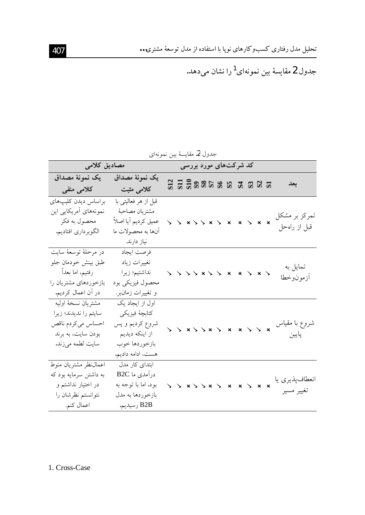جدول 2 مقايسهٔ بين نمونهای<sup>1</sup>را نشان میدهد.

| جدول 2. مقايسة بين نمونهاي |  |  |
|----------------------------|--|--|
|----------------------------|--|--|

| مصادیق کلامی           |                      |  | کد شرکتهای مورد بررسی             |  |  |  |  |                |
|------------------------|----------------------|--|-----------------------------------|--|--|--|--|----------------|
| يک نمونۂ مصداق         | يک نمونهٔ مصداق      |  | <u>S S S S S S S S S S S S S </u> |  |  |  |  | بعد            |
| کلامی منفی             | کلامی مثبت           |  |                                   |  |  |  |  |                |
| براساس ديدن كليب هاى   | قبل از هر فعالیتی با |  |                                   |  |  |  |  |                |
| نمونههای آمریکایی این  | مشتريان مصاحبة       |  |                                   |  |  |  |  | تمرکز بر مشکل  |
| محصول به فكر           | عميق كرديم أيا اصلأ  |  |                                   |  |  |  |  |                |
| الگوبرداري افتاديم.    | أنها به محصولات ما   |  |                                   |  |  |  |  | قبل از راهحل   |
|                        | نیاز دارند.          |  |                                   |  |  |  |  |                |
| در مرحلهٔ توسعهٔ سایت  | فرصت ايجاد           |  |                                   |  |  |  |  |                |
| طبق بينش خودمان جلو    | تغييرات زياد         |  |                                   |  |  |  |  | تمايل به       |
| رفتيم، اما بعداً       | نداشتيم؛ زيرا        |  | 5.5585                            |  |  |  |  | أزمونوخطا      |
| بازخوردهای مشتریان را  | محصول فيزيكي بود     |  |                                   |  |  |  |  |                |
| در أن اعمال كرديم.     | و تغییرات زمان بر.   |  |                                   |  |  |  |  |                |
| مشتريان نسخة اوليه     | اول از ایجاد یک      |  |                                   |  |  |  |  |                |
| سايتم را نديدند؛ زيرا  | كتابچة فيزيكي        |  |                                   |  |  |  |  |                |
| احساس مىكردم ناقص      | شروع كرديم و پس      |  |                                   |  |  |  |  | شروع با مقياس  |
| بودن سایت، به برند     | از اینکه دیدیم       |  | $\lambda$ x $\lambda$             |  |  |  |  | پايين          |
| سايت لطمه مىزند.       | بازخوردها خوب        |  |                                   |  |  |  |  |                |
|                        | هست، ادامه دادیم.    |  |                                   |  |  |  |  |                |
| اعمال نظر مشتريان منوط | ابتدای کار مدل       |  |                                   |  |  |  |  |                |
| به داشتن سرمایه بود که | درآمدي ما B2C        |  |                                   |  |  |  |  |                |
| در اختیار نداشتم و     | بود، اما با توجه به  |  |                                   |  |  |  |  | انعطافپذیری یا |
| نتوانستم نظرشان را     | بازخوردها به مدل     |  |                                   |  |  |  |  | تغيير مسير     |
| اعمال کنم.             | B2B رسيديم.          |  |                                   |  |  |  |  |                |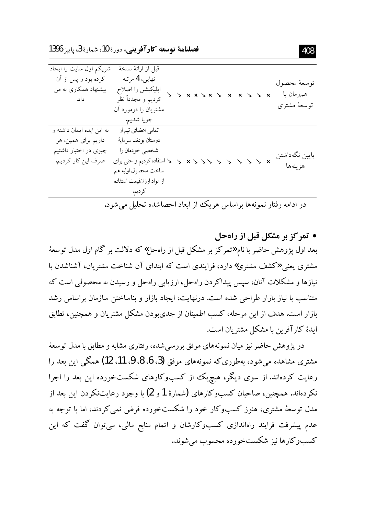فصلنامة توسعه كارآفويني، دورة 10، شمارة 3، يايز 1396

| شریکم اول سایت را ایجاد<br>کرده بود و پس از آن<br>پیشنهاد همکاری به من<br>داد.                  | قبل از ارائهٔ نسخهٔ<br>نهایی، 4 مرتبه<br>اپليكيشن را اصلاح<br>كرديم و مجدداً نظر<br>مشتریان را درمورد أن<br>جويا شديم.                                   |  |  | $\searrow$ x | توسعة محصول<br>همزمان با<br>توسعهٔ مشتری |
|-------------------------------------------------------------------------------------------------|----------------------------------------------------------------------------------------------------------------------------------------------------------|--|--|--------------|------------------------------------------|
| به این ایده ایمان داشته و<br>داریم برای همین، هر<br>چیزی در اختیار داشتیم<br>صرف اين كار كرديم. | تمامی اعضای تیم از<br>دوستان بودند. سرماية<br>شخصي خودمان را<br>﴿ استفاده كرديم و حتى براي<br>ساخت محصول اوليه هم<br>از مواد ارزانقیمت استفاده<br>كرديم. |  |  |              | پايين نگەداشتن<br>هزينهها                |
|                                                                                                 | در ادامه رفتار نمونهها براساس هریک از ابعاد احصاشده تحلیل میشود.                                                                                         |  |  |              |                                          |

• تمركز بر مشكل قبل از راهجل بعد اول پژوهش حاضر با نام «تمرکز بر مشکل قبل از راهحل» که دلالت بر گام اول مدل توسعهٔ مشتری یعنی «کشف مشتری» دارد، فرایندی است که ابتدای آن شناخت مشتریان، آشناشدن ما نیازها و مشکلات آنان، سپس پیداکردن راهجل، ارزیابی راهجل و رسیدن به محصولی است که متناسب با نیاز بازار طراحی شده است. درنهایت، ایجاد بازار و بناساختن سازمان براساس رشد بازار است. هدف از این مرحله، کسب اطمینان از جدی و دن مشکل مشتریان و همچنین، تطابق ابدهٔ کار آفرین با مشکل مشتریان است.

در پژوهش حاضر نیز میان نمونههای موفق بررسی شده، رفتاری مشابه و مطابق با مدل توسعهٔ مشتری مشاهده میشود، بهطوری که نمونههای موفق (3، 6، 8، 9، 11، 12) همگی این بعد را رعایت کردهاند. از سوی دیگر، هیچ یک از کسبوکارهای شکستخورده این بعد را اجرا نکردهاند. همچنین، صاحبان کسبوکارهای (شمارهٔ 1و 2) با وجود رعایتنکردن این بعد از مدل توسعهٔ مشتری، هنوز کسبوکار خود را شکستخورده فرض نمی کردند، اما با توجه به عدم پیشرفت فرایند راهاندازی کسبوکارشان و اتمام منابع مالی، میتوان گفت که این کسبو کارها نیز شکستخورده محسوب مے شوند.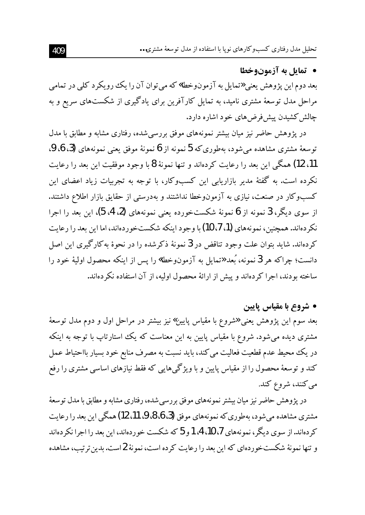### • تمايل به آزمونوخطا

بعد دوم اين يژوهش يعني «تمايل به آزمو نوخطا» كه مي توان آن را يك رو يكرد كلي در تمامي مراحل مدل توسعهٔ مشتری نامید، به تمایل کارآفرین برای یادگیری از شکستهای سریع و به چالش کشیدن پیش فرض های خود اشاره دارد.

در یژوهش حاضر نیز میان بیشتر نمونههای موفق بررسی شده، رفتاری مشابه و مطابق با مدل توسعهٔ مشتری مشاهده می شود، بهطوری که 5 نمونه از 6 نمونهٔ موفق یعنی نمونههای (3، 6، 9، 11، 12) همگی این بعد را رعایت کردهاند و تنها نمونهٔ 8 با وجود موفقیت این بعد را رعایت نکرده است. به گفتهٔ مدیر بازاریابی این کسبوکار، با توجه به تجربیات زیاد اعضای این کسبوکار در صنعت، نیازی به آزمونوخطا نداشتند و بهدرستی از حقایق بازار اطلاع داشتند. از سوی دیگر، 3 نمونه از 6 نمونهٔ شکستخورده یعنی نمونههای (2، 4، 5)، این بعد را اجرا نکر دهاند. همچنین، نمونههای (1، 7، 10) با وجود اینکه شکستخوردهاند، اما این بعد را رعایت کردهاند. شاید بتوان علت وجود تناقض در 3 نمونهٔ ذکرشده را در نحوهٔ بهکارگیری این اصل دانست؛ چراكه هر 3 نمونه، بُعد «تمايل به آزمون٥خطا» را يس از اينكه محصول اوليهٔ خود را ساخته بودند، اجرا کردهاند و پیش از ارائهٔ محصول اولیه، از آن استفاده نکردهاند.

• شروع با مقياس پايين

بعد سوم این پژوهش یعنی «شروع با مقیاس پایین» نیز بیشتر در مراحل اول و دوم مدل توسعهٔ مشتری دیده می شود. شروع با مقیاس پایین به این معناست که یک استارتاپ با توجه به اینکه در یک محیط عدم قطعیت فعالیت می کند، باید نسبت به مصرف منابع خود بسیار بااحتیاط عمل کند و توسعهٔ محصول را از مقیاس پایین و با ویژگیهایی که فقط نیازهای اساسی مشتری را رفع می کنند، شروع کند.

در پژوهش حاضر نیز میان بیشتر نمونههای موفق بررسی شده، رفتاری مشابه و مطابق با مدل توسعهٔ مشتري مشاهده مي شود، بهطوري كه نمونِههاي موفق (3، 6، 8، 9، 11، 12) همگي اين بعد را رعايت کر دهاند. از سوی دیگر ، نمونههای 7، 10، 4، 1 و 5 که شکست خو ر دهاند، این بعد را اجرا نکر دهاند و تنها نمونهٔ شکستخوردهای که این بعد را رعایت کرده است، نمونهٔ 2است. بدین ترتیب، مشاهده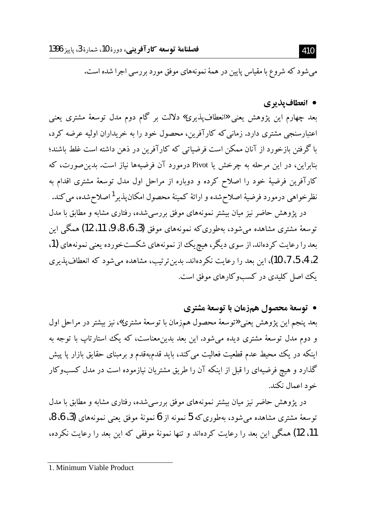میشود که شروع با مقیاس پایین در همهٔ نمونههای موفق مورد بررسی اجرا شده است.

#### • انعطاف بذبري

بعد چهارم این پژوهش یعنی «انعطافپذیری» دلالت بر گام دوم مدل توسعهٔ مشتری یعنی اعتبارسنجی مشتری دارد. زمانی که کارآفرین، محصول خود را به خریداران اولیه عرضه کرد، با گرفتن بازخورد از آنان ممکن است فرضیاتی که کارآفرین در ذهن داشته است غلط باشند؛ بنابراین، در این مرحله به چرخش یا Pivot درمورد آن فرضیهها نیاز است. بدین صورت، که كارآفرين فرضيهٔ خود را اصلاح كرده و دوباره از مراحل اول مدل توسعهٔ مشترى اقدام به نظرخواهي درمورد فرضيهٔ اصلاح شده و ارائهٔ کمینهٔ محصول امکان پذیر<sup>1</sup> اصلاح شده، می کند. در یژوهش حاضر نیز میان بیشتر نمونههای موفق بررسی شده، رفتاری مشابه و مطابق با مدل

توسعهٔ مشتری مشاهده میشود، بهطوری که نمونههای موفق (3، 6، 8، 9، 11، 12) همگم این بعد را رعایت کردهاند. از سوی دیگر، هیچ یک از نمونههای شکستخورده یعنی نمونههای (1، 2، 4، 5، 7، 10)، این بعد را رعایت نکردهاند. بدین ترتیب، مشاهده می شود که انعطاف پذیری یک اصل کلیدی در کسبوکارهای موفق است.

• توسعة محصول همزمان با توسعة مشتري

بعد پنجم این پژوهش یعنی «توسعهٔ محصول همزمان با توسعهٔ مشتری»، نیز بیشتر در مراحل اول و دوم مدل توسعهٔ مشتری دیده میشود. این بعد بدین.معناست، که یک استارتاپ با توجه به اینکه در یک محیط عدم قطعیت فعالیت می کند، باید قدمبهقدم و برمبنای حقایق بازار پا پیش گذارد و هیچ فرضیهای را قبل از اینکه آن را طریق مشتریان نیازموده است در مدل کسبوکار خود اعمال نکند.

در پژوهش حاضر نیز میان بیشتر نمونههای موفق بررسی شده، رفتاری مشابه و مطابق با مدل توسعهٔ مشتری مشاهده می شود، بهطوری که 5 نمونه از 6 نمونهٔ موفق یعنی نمونههای (3، 6، 8، 11، 12) همگی این بعد را رعایت کردهاند و تنها نمونهٔ موفقی که این بعد را رعایت نکرده،

#### 410

<sup>1.</sup> Minimum Viable Product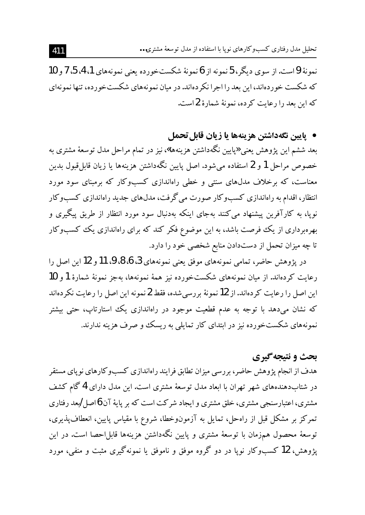تحلیل مدل رفتاری کسبوکارهای نوپا با استفاده از مدل توسعهٔ مشتری...

نمونهٔ 9است.از سوی دیگر، 5نمونه از 6نمونهٔ شکستخورده یعنی نمونههای 1، 4، 5، 7 و 10 که شکست خو ردهاند، این بعد را اجرا نکر دهاند. در میان نمو نههای شکستخو رده، تنها نمو نهای كه اين بعد را رعايت كرده، نمونهٔ شمارهٔ 2است.

## • يايين نگهداشتن هزينهها يا زيان قابل تحمل

بعد ششم این پژوهش یعنی «پایین نگهداشتن هزینهها»، نیز در تمام مراحل مدل توسعهٔ مشتری به خصوص مراحل 1 و 2 استفاده میشود. اصل پایین نگهداشتن هزینهها یا زیان قابل قبول بدین معناست، که برخلاف مدل&ای سنتی و خطی راهاندازی کسبوکار که برمبنای سود مورد انتظار، اقدام به راهاندازی کسبوکار صورت میگرفت، مدلهای جدید راهاندازی کسبوکار نوپا، به کارآفرین پیشنهاد میکنند بهجای اینکه بهدنبال سود مورد انتظار از طریق پیگیری و بهرهبرداری از یک فرصت باشد، به این موضوع فکر کند که برای راهاندازی یک کسبوکار تا چه میزان تحمل از دستدادن منابع شخصی خود را دارد.

در پژوهش حاضر، تمامی نمونههای موفق یعنی نمونههای 3، 6، 8، 9، 11 و 12 این اصل را رعايت كردهاند. از ميان نمونههاي شكستخورده نيز همهٔ نمونهها، بهجز نمونهٔ شمارهٔ 1و 10 این اصل را رعایت کردهاند. از 12 نمونهٔ بررسی شده، فقط 2 نمونه این اصل را رعایت نکردهاند که نشان میدهد با توجه به عدم قطعیت موجود در راهاندازی یک استارتاب، حتی بیشتر نمونههای شکستخورده نیز در ابتدای کار تمایلی به ریسک و صرف هزینه ندارند.

## **بحث و نتیجه گیری**

هدف از انجام پژوهش حاضر، بررسی میزان تطابق فرایند راهاندازی کسبوکارهای نویای مستقر در شتابدهندههای شهر تهران با ابعاد مدل توسعهٔ مشتری است. این مدل دارای 4 گام کشف مشتری، اعتبارسنجی مشتری، خلق مشتری و ایجاد شرکت است که بر پایهٔ آن 6اصل /بعد رفتاری تمرکز بر مشکل قبل از راهحل، تمایل به آزمونوخطا، شروع با مقیاس پایین، انعطافپذیری، توسعهٔ محصول همزمان با توسعهٔ مشتری و پایین نگهداشتن هزینهها قابل۱حصا است. در این یژوهش، 12 کسبوکار نویا در دو گروه موفق و ناموفق یا نمونهگیری مثبت و منفی، مورد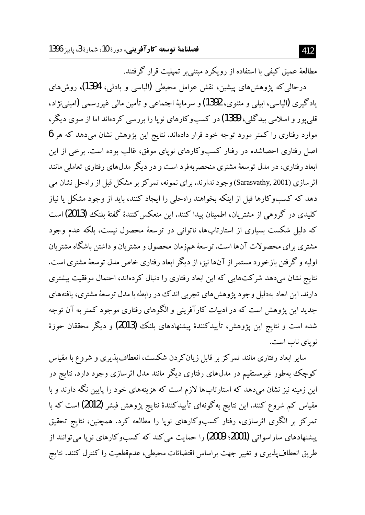مطالعهٔ عمیق کیفی با استفاده از رویکرد مبتنی بر تمیلیت قرار گرفتند.

درحالي كه يژوهش هاي پيشين، نقش عوامل محيطي (الياسي و بادلي، 1394)، روش هاي يادگيري (الياسي، ايبلي و مثنوي، 1392) و سرمايهٔ اجتماعي و تأمين مالي غيررسمي (اميني نژاد، قلي يو ر و اسلامي بيدگلي، 1389) در كسبوكارهاي نويا را بررسي كردهاند اما از سوي ديگر، موارد رفتاری را کمتر مورد توجه خود قرار دادهاند. نتایج این یژوهش نشان میدهد که هر 6 اصل رفتاری احصاشده در رفتار کسبوکارهای نوپای موفق، غالب بوده است. برخی از این ابعاد رفتاری، در مدل توسعهٔ مشتری منحصربهفرد است و در دیگر مدل۵ای رفتاری تعاملی مانند اثر سازی (Sarasvathy, 2001) وجود ندارند. برای نمونه، تمرکز بر مشکل قبل از راهحل نشان می دهد که کسبوکارها قبل از اینکه بخواهند راهحلی را ایجاد کنند، باید از وجود مشکل با نباز كليدي در گروهي از مشتريان، اطمينان پيدا كنند. اين منعكس كنندهٔ گفتهٔ بلنك (2013) است که دلیل شکست بسیاری از استارتاپها، ناتوانی در توسعهٔ محصول نیست، بلکه عدم وجود مشتری بر ای محصولات آنها است. تو سعهٔ همزمان محصول و مشتریان و داشتن باشگاه مشتریان اولیه و گرفتن بازخورد مستمر از آنها نیز، از دیگر ابعاد رفتاری خاص مدل توسعهٔ مشتری است. نتایج نشان میدهد شرکتهایی که این ابعاد رفتاری را دنبال کردهاند، احتمال موفقیت بیشتری دارند.این ابعاد بهدلیل وجود یژوهش های تجربی اندک در رابطه با مدل توسعهٔ مشتری، یافتههای جدید این پژوهش است که در ادبیات کارآفرینی و الگوهای رفتاری موجود کمتر به آن توجه شده است و نتايج اين پژوهش، تأييدكنندهٔ پيشنهادهاى بلنک (2013) و ديگر محققان حوزهٔ نو یای ناب است.

سایر ابعاد رفتاری مانند تمرکز بر قابل زیانکردن شکست، انعطاف پذیری و شروع با مقیاس کوچک بهطور غیرمستقیم در مدلهای رفتاری دیگر مانند مدل اثرسازی وجود دارد. نتایج در این زمینه نیز نشان میدهد که استارتاپها لازم است که هزینههای خود را پایین نگه دارند و با مقیاس کم شروع کنند. این نتایج به گونهای تأییدکنندهٔ نتایج پژوهش فیشر (2012) است که با تمرکز بر الگوی اثرسازی، رفتار کسبوکارهای نوپا را مطالعه کرد. همچنین، نتایج تحقیق پیشنهادهای ساراسواتی **(2001؛ 2009)** را حمایت می کند که کسبوکارهای نویا می توانند از طريق انعطاف پذيري و تغيير جهت براساس اقتضائات محيطي، عدمقطعيت را كنترل كنند. نتايج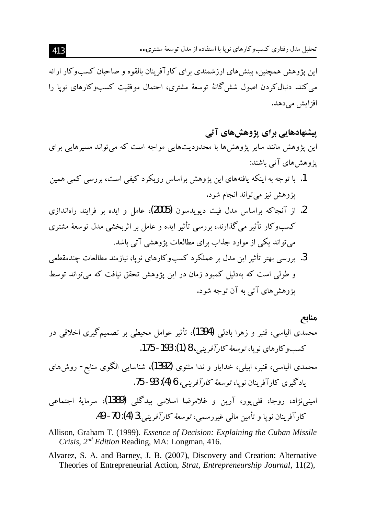این پژوهش همچنین، بینشهای ارزشمندی برای کارآفرینان بالقوه و صاحبان کسبوکار ارائه می کند. دنبال کردن اصول شش گانهٔ توسعهٔ مشتری، احتمال موفقیت کسبوکارهای نویا را افزایش مے دھد.

## پیشنهادهایی برای پژوهشهای آتی این پژوهش مانند سایر پژوهشها با محدودیتهایی مواجه است که می تواند مسیرهایی برای یژوهش های آتی باشند:

- 1. با توجه به اینکه یافتههای این یژوهش براساس رویکرد کیفی است، بررسی کمی همین پژوهش نیز میتواند انجام شود.
- 2. از آنجاکه براساس مدل فیت دیویدسون (2005)، عامل و ایده بر فرایند راهاندازی کسبوکار تأثیر می گذارند، بررسی تأثیر ایده و عامل بر اثربخشی مدل توسعهٔ مشتری می تواند یکی از موارد جذاب برای مطالعات پژوهشی آتی باشد.
- 3. بررسی بهتر تأثیر این مدل بر عملکرد کسبوکارهای نوپا، نیازمند مطالعات چندمقطعی و طولبی است که بهدلیل کمبود زمان در این پژوهش تحقق نیافت که می تواند توسط یژوهش های آتی به آن توجه شود.

منابع

- محمدي الياسي، قنبر و زهرا بادلي (1394)، تأثير عوامل محيطي بر تصميمگيري اخلاقي در کسب و کار های نو یا، *تو سعهٔ کار آفرینی*، 8 (1): 193- 175.
- محمدی الیاسی، قنبر، ابیلی، خدایار و ندا مثنوی (1392)، شناسایی الگوی منابع- روشهای يادگيري كارآفرينان نويا، *توسعة كارآفريني، 6 (4): 93- 7*5.
- امینی،نژاد، روجا، قلبیپور، آرین و غلامرضا اسلامی بیدگلی (1389)، سرمایهٔ اجتماعی كارآفرينان نويا و تأمين مالي غيررسمي، *توسعهٔ كارآفريني،3 (*4): 70- 49.
- Allison, Graham T. (1999). Essence of Decision: Explaining the Cuban Missile Crisis, 2<sup>nd</sup> Edition Reading, MA: Longman, 416.
- Alvarez, S. A. and Barney, J. B. (2007), Discovery and Creation: Alternative Theories of Entrepreneurial Action, Strat, Entrepreneurship Journal, 11(2),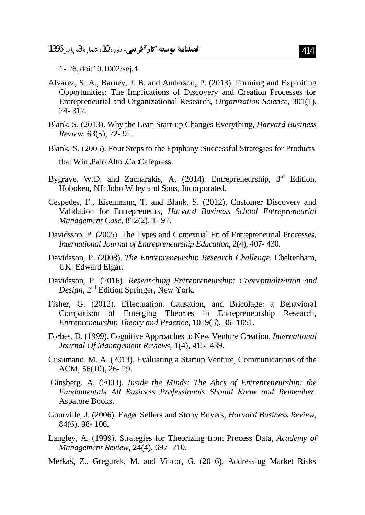1-26, doi:10.1002/sej.4

- Alvarez, S. A., Barney, J. B. and Anderson, P. (2013). Forming and Exploiting Opportunities: The Implications of Discovery and Creation Processes for Entrepreneurial and Organizational Research, Organization Science, 301(1), 24-317.
- Blank, S. (2013). Why the Lean Start-up Changes Everything, *Harvard Business* Review, 63(5), 72-91.
- Blank, S. (2005). Four Steps to the Epiphany :Successful Strategies for Products that Win, Palo Alto, Ca: Cafepress.
- Bygrave, W.D. and Zacharakis, A. (2014). Entrepreneurship, 3rd Edition, Hoboken, NJ: John Wiley and Sons, Incorporated.
- Cespedes, F., Eisenmann, T. and Blank, S. (2012). Customer Discovery and Validation for Entrepreneurs, Harvard Business School Entrepreneurial Management Case, 812(2), 1-97.
- Davidsson, P. (2005). The Types and Contextual Fit of Entrepreneurial Processes, International Journal of Entrepreneurship Education, 2(4), 407-430.
- Davidsson, P. (2008). The Entrepreneurship Research Challenge. Cheltenham, UK: Edward Elgar.
- Davidsson, P. (2016). Researching Entrepreneurship: Conceptualization and Design, 2<sup>nd</sup> Edition Springer, New York.
- Fisher, G. (2012). Effectuation, Causation, and Bricolage: a Behavioral Comparison of Emerging Theories in Entrepreneurship Research, Entrepreneurship Theory and Practice, 1019(5), 36-1051.
- Forbes, D. (1999). Cognitive Approaches to New Venture Creation, International Journal Of Management Reviews, 1(4), 415-439.
- Cusumano, M. A. (2013). Evaluating a Startup Venture, Communications of the ACM, 56(10), 26-29.
- Ginsberg, A. (2003). Inside the Minds: The Abcs of Entrepreneurship: the Fundamentals All Business Professionals Should Know and Remember. Aspatore Books.
- Gourville, J. (2006). Eager Sellers and Stony Buyers, *Harvard Business Review*, 84(6), 98-106.
- Langley, A. (1999). Strategies for Theorizing from Process Data, Academy of Management Review, 24(4), 697-710.
- Merkaš, Z., Gregurek, M. and Viktor, G. (2016). Addressing Market Risks